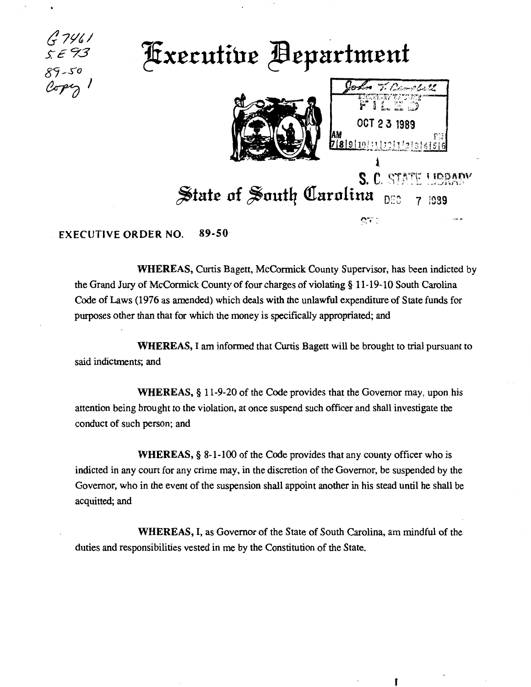

**Fxecutive Bepartment** 



T. Campbell OCT 2 3 1989 r:;i 2.89.10.11.12.11.2 3141516  $\lambda$ 

م چين

 $\mathbf{C}$   $\mathbf{\hat{c}}$ 

f

## $S. C. 5787$  $\frac{1}{2}$  state of South Carolina <sub>DEC 7 1989</sub>

## EXECUTIVE ORDER NO. 89-50

WHEREAS, Curtis Bagett, McCormick County Supervisor, has been indicted by the Grand Jury of McCormick County of four charges of violating § 11-19-10 South Carolina Code of Laws (1976 as amended) which deals with the unlawful expenditure of State funds for purposes other than that for which the money is specifically appropriated; and

WHEREAS, I am informed that Curtis Bagett will be brought to trial pursuant to said indictments; and

WHEREAS,§ 11-9-20 of the Code provides that the Governor may, upon his attention being brought to the violation, at once suspend such officer and shall investigate the conduct of such person; and

WHEREAS, § 8-1-100 of the Code provides that any county officer who is indicted in any court for any crime may, in the discretion of the Governor, be suspended by the Governor, who in the event of the suspension shall appoint another in his stead until he shall be acquitted; and

WHEREAS, I, as Governor of the State of South Carolina, am mindful of the duties and responsibilities vested in me by the Constitution of the State.